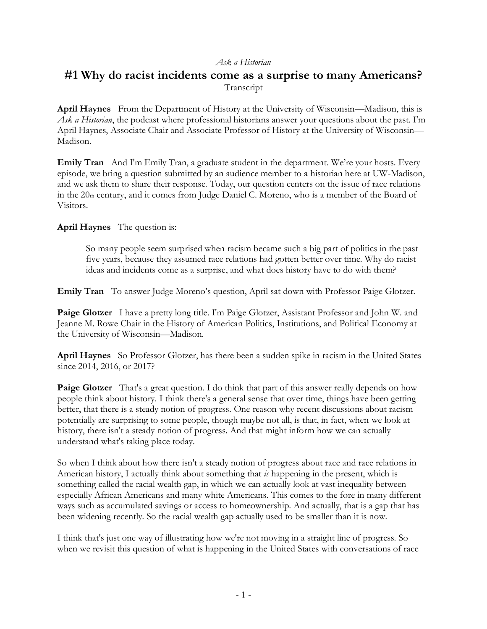## *Ask a Historian*

## **#1 Why do racist incidents come as a surprise to many Americans?**  Transcript

**April Haynes** From the Department of History at the University of Wisconsin—Madison, this is *Ask a Historian*, the podcast where professional historians answer your questions about the past. I'm April Haynes, Associate Chair and Associate Professor of History at the University of Wisconsin— Madison.

**Emily Tran** And I'm Emily Tran, a graduate student in the department. We're your hosts. Every episode, we bring a question submitted by an audience member to a historian here at UW-Madison, and we ask them to share their response. Today, our question centers on the issue of race relations in the 20th century, and it comes from Judge Daniel C. Moreno, who is a member of the Board of Visitors.

**April Haynes** The question is:

So many people seem surprised when racism became such a big part of politics in the past five years, because they assumed race relations had gotten better over time. Why do racist ideas and incidents come as a surprise, and what does history have to do with them?

**Emily Tran** To answer Judge Moreno's question, April sat down with Professor Paige Glotzer.

**Paige Glotzer** I have a pretty long title. I'm Paige Glotzer, Assistant Professor and John W. and Jeanne M. Rowe Chair in the History of American Politics, Institutions, and Political Economy at the University of Wisconsin—Madison.

**April Haynes** So Professor Glotzer, has there been a sudden spike in racism in the United States since 2014, 2016, or 2017?

**Paige Glotzer** That's a great question. I do think that part of this answer really depends on how people think about history. I think there's a general sense that over time, things have been getting better, that there is a steady notion of progress. One reason why recent discussions about racism potentially are surprising to some people, though maybe not all, is that, in fact, when we look at history, there isn't a steady notion of progress. And that might inform how we can actually understand what's taking place today.

So when I think about how there isn't a steady notion of progress about race and race relations in American history, I actually think about something that *is* happening in the present, which is something called the racial wealth gap, in which we can actually look at vast inequality between especially African Americans and many white Americans. This comes to the fore in many different ways such as accumulated savings or access to homeownership. And actually, that is a gap that has been widening recently. So the racial wealth gap actually used to be smaller than it is now.

I think that's just one way of illustrating how we're not moving in a straight line of progress. So when we revisit this question of what is happening in the United States with conversations of race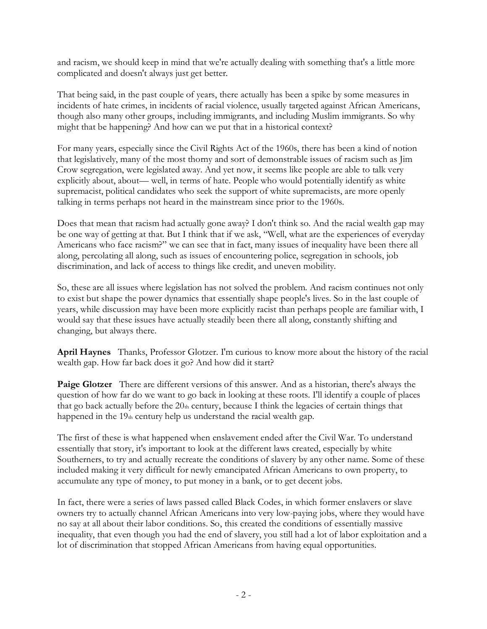and racism, we should keep in mind that we're actually dealing with something that's a little more complicated and doesn't always just get better.

That being said, in the past couple of years, there actually has been a spike by some measures in incidents of hate crimes, in incidents of racial violence, usually targeted against African Americans, though also many other groups, including immigrants, and including Muslim immigrants. So why might that be happening? And how can we put that in a historical context?

For many years, especially since the Civil Rights Act of the 1960s, there has been a kind of notion that legislatively, many of the most thorny and sort of demonstrable issues of racism such as Jim Crow segregation, were legislated away. And yet now, it seems like people are able to talk very explicitly about, about— well, in terms of hate. People who would potentially identify as white supremacist, political candidates who seek the support of white supremacists, are more openly talking in terms perhaps not heard in the mainstream since prior to the 1960s.

Does that mean that racism had actually gone away? I don't think so. And the racial wealth gap may be one way of getting at that. But I think that if we ask, "Well, what are the experiences of everyday Americans who face racism?" we can see that in fact, many issues of inequality have been there all along, percolating all along, such as issues of encountering police, segregation in schools, job discrimination, and lack of access to things like credit, and uneven mobility.

So, these are all issues where legislation has not solved the problem. And racism continues not only to exist but shape the power dynamics that essentially shape people's lives. So in the last couple of years, while discussion may have been more explicitly racist than perhaps people are familiar with, I would say that these issues have actually steadily been there all along, constantly shifting and changing, but always there.

**April Haynes** Thanks, Professor Glotzer. I'm curious to know more about the history of the racial wealth gap. How far back does it go? And how did it start?

**Paige Glotzer** There are different versions of this answer. And as a historian, there's always the question of how far do we want to go back in looking at these roots. I'll identify a couple of places that go back actually before the 20th century, because I think the legacies of certain things that happened in the  $19<sub>th</sub>$  century help us understand the racial wealth gap.

The first of these is what happened when enslavement ended after the Civil War. To understand essentially that story, it's important to look at the different laws created, especially by white Southerners, to try and actually recreate the conditions of slavery by any other name. Some of these included making it very difficult for newly emancipated African Americans to own property, to accumulate any type of money, to put money in a bank, or to get decent jobs.

In fact, there were a series of laws passed called Black Codes, in which former enslavers or slave owners try to actually channel African Americans into very low-paying jobs, where they would have no say at all about their labor conditions. So, this created the conditions of essentially massive inequality, that even though you had the end of slavery, you still had a lot of labor exploitation and a lot of discrimination that stopped African Americans from having equal opportunities.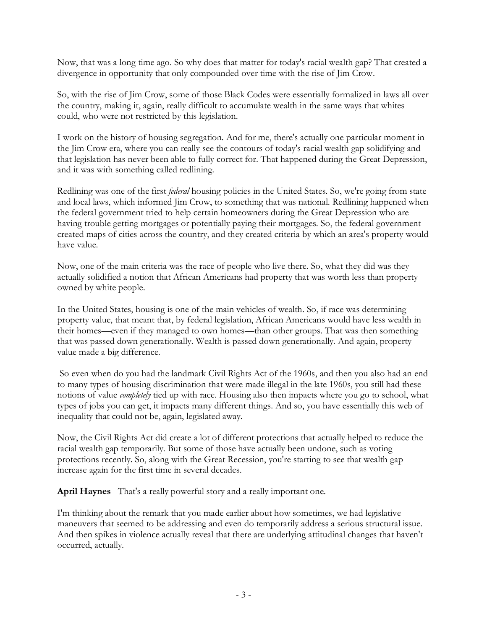Now, that was a long time ago. So why does that matter for today's racial wealth gap? That created a divergence in opportunity that only compounded over time with the rise of Jim Crow.

So, with the rise of Jim Crow, some of those Black Codes were essentially formalized in laws all over the country, making it, again, really difficult to accumulate wealth in the same ways that whites could, who were not restricted by this legislation.

I work on the history of housing segregation. And for me, there's actually one particular moment in the Jim Crow era, where you can really see the contours of today's racial wealth gap solidifying and that legislation has never been able to fully correct for. That happened during the Great Depression, and it was with something called redlining.

Redlining was one of the first *federal* housing policies in the United States. So, we're going from state and local laws, which informed Jim Crow, to something that was national. Redlining happened when the federal government tried to help certain homeowners during the Great Depression who are having trouble getting mortgages or potentially paying their mortgages. So, the federal government created maps of cities across the country, and they created criteria by which an area's property would have value.

Now, one of the main criteria was the race of people who live there. So, what they did was they actually solidified a notion that African Americans had property that was worth less than property owned by white people.

In the United States, housing is one of the main vehicles of wealth. So, if race was determining property value, that meant that, by federal legislation, African Americans would have less wealth in their homes—even if they managed to own homes—than other groups. That was then something that was passed down generationally. Wealth is passed down generationally. And again, property value made a big difference.

So even when do you had the landmark Civil Rights Act of the 1960s, and then you also had an end to many types of housing discrimination that were made illegal in the late 1960s, you still had these notions of value *completely* tied up with race. Housing also then impacts where you go to school, what types of jobs you can get, it impacts many different things. And so, you have essentially this web of inequality that could not be, again, legislated away.

Now, the Civil Rights Act did create a lot of different protections that actually helped to reduce the racial wealth gap temporarily. But some of those have actually been undone, such as voting protections recently. So, along with the Great Recession, you're starting to see that wealth gap increase again for the first time in several decades.

**April Haynes** That's a really powerful story and a really important one.

I'm thinking about the remark that you made earlier about how sometimes, we had legislative maneuvers that seemed to be addressing and even do temporarily address a serious structural issue. And then spikes in violence actually reveal that there are underlying attitudinal changes that haven't occurred, actually.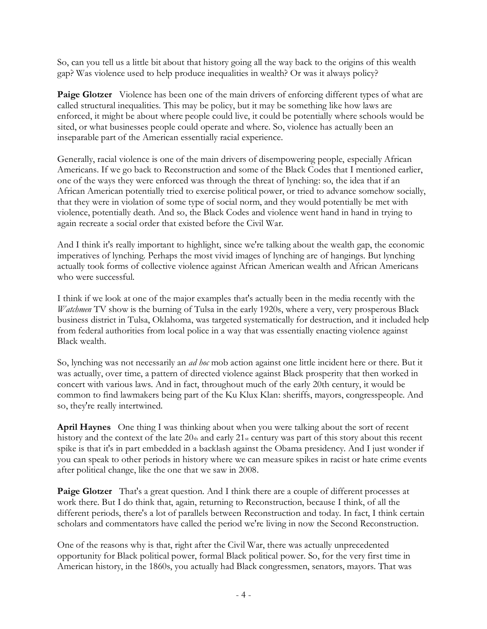So, can you tell us a little bit about that history going all the way back to the origins of this wealth gap? Was violence used to help produce inequalities in wealth? Or was it always policy?

**Paige Glotzer** Violence has been one of the main drivers of enforcing different types of what are called structural inequalities. This may be policy, but it may be something like how laws are enforced, it might be about where people could live, it could be potentially where schools would be sited, or what businesses people could operate and where. So, violence has actually been an inseparable part of the American essentially racial experience.

Generally, racial violence is one of the main drivers of disempowering people, especially African Americans. If we go back to Reconstruction and some of the Black Codes that I mentioned earlier, one of the ways they were enforced was through the threat of lynching: so, the idea that if an African American potentially tried to exercise political power, or tried to advance somehow socially, that they were in violation of some type of social norm, and they would potentially be met with violence, potentially death. And so, the Black Codes and violence went hand in hand in trying to again recreate a social order that existed before the Civil War.

And I think it's really important to highlight, since we're talking about the wealth gap, the economic imperatives of lynching. Perhaps the most vivid images of lynching are of hangings. But lynching actually took forms of collective violence against African American wealth and African Americans who were successful.

I think if we look at one of the major examples that's actually been in the media recently with the *Watchmen* TV show is the burning of Tulsa in the early 1920s, where a very, very prosperous Black business district in Tulsa, Oklahoma, was targeted systematically for destruction, and it included help from federal authorities from local police in a way that was essentially enacting violence against Black wealth.

So, lynching was not necessarily an *ad hoc* mob action against one little incident here or there. But it was actually, over time, a pattern of directed violence against Black prosperity that then worked in concert with various laws. And in fact, throughout much of the early 20th century, it would be common to find lawmakers being part of the Ku Klux Klan: sheriffs, mayors, congresspeople. And so, they're really intertwined.

**April Haynes** One thing I was thinking about when you were talking about the sort of recent history and the context of the late  $20<sub>th</sub>$  and early  $21<sub>st</sub>$  century was part of this story about this recent spike is that it's in part embedded in a backlash against the Obama presidency. And I just wonder if you can speak to other periods in history where we can measure spikes in racist or hate crime events after political change, like the one that we saw in 2008.

**Paige Glotzer** That's a great question. And I think there are a couple of different processes at work there. But I do think that, again, returning to Reconstruction, because I think, of all the different periods, there's a lot of parallels between Reconstruction and today. In fact, I think certain scholars and commentators have called the period we're living in now the Second Reconstruction.

One of the reasons why is that, right after the Civil War, there was actually unprecedented opportunity for Black political power, formal Black political power. So, for the very first time in American history, in the 1860s, you actually had Black congressmen, senators, mayors. That was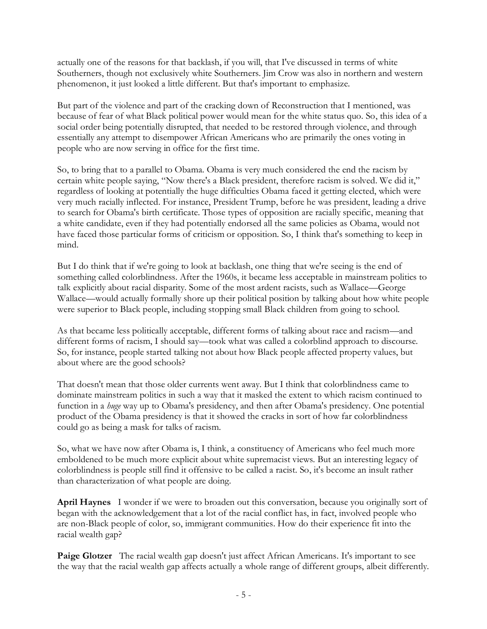actually one of the reasons for that backlash, if you will, that I've discussed in terms of white Southerners, though not exclusively white Southerners. Jim Crow was also in northern and western phenomenon, it just looked a little different. But that's important to emphasize.

But part of the violence and part of the cracking down of Reconstruction that I mentioned, was because of fear of what Black political power would mean for the white status quo. So, this idea of a social order being potentially disrupted, that needed to be restored through violence, and through essentially any attempt to disempower African Americans who are primarily the ones voting in people who are now serving in office for the first time.

So, to bring that to a parallel to Obama. Obama is very much considered the end the racism by certain white people saying, "Now there's a Black president, therefore racism is solved. We did it," regardless of looking at potentially the huge difficulties Obama faced it getting elected, which were very much racially inflected. For instance, President Trump, before he was president, leading a drive to search for Obama's birth certificate. Those types of opposition are racially specific, meaning that a white candidate, even if they had potentially endorsed all the same policies as Obama, would not have faced those particular forms of criticism or opposition. So, I think that's something to keep in mind.

But I do think that if we're going to look at backlash, one thing that we're seeing is the end of something called colorblindness. After the 1960s, it became less acceptable in mainstream politics to talk explicitly about racial disparity. Some of the most ardent racists, such as Wallace—George Wallace—would actually formally shore up their political position by talking about how white people were superior to Black people, including stopping small Black children from going to school.

As that became less politically acceptable, different forms of talking about race and racism—and different forms of racism, I should say—took what was called a colorblind approach to discourse. So, for instance, people started talking not about how Black people affected property values, but about where are the good schools?

That doesn't mean that those older currents went away. But I think that colorblindness came to dominate mainstream politics in such a way that it masked the extent to which racism continued to function in a *huge* way up to Obama's presidency, and then after Obama's presidency. One potential product of the Obama presidency is that it showed the cracks in sort of how far colorblindness could go as being a mask for talks of racism.

So, what we have now after Obama is, I think, a constituency of Americans who feel much more emboldened to be much more explicit about white supremacist views. But an interesting legacy of colorblindness is people still find it offensive to be called a racist. So, it's become an insult rather than characterization of what people are doing.

**April Haynes** I wonder if we were to broaden out this conversation, because you originally sort of began with the acknowledgement that a lot of the racial conflict has, in fact, involved people who are non-Black people of color, so, immigrant communities. How do their experience fit into the racial wealth gap?

**Paige Glotzer** The racial wealth gap doesn't just affect African Americans. It's important to see the way that the racial wealth gap affects actually a whole range of different groups, albeit differently.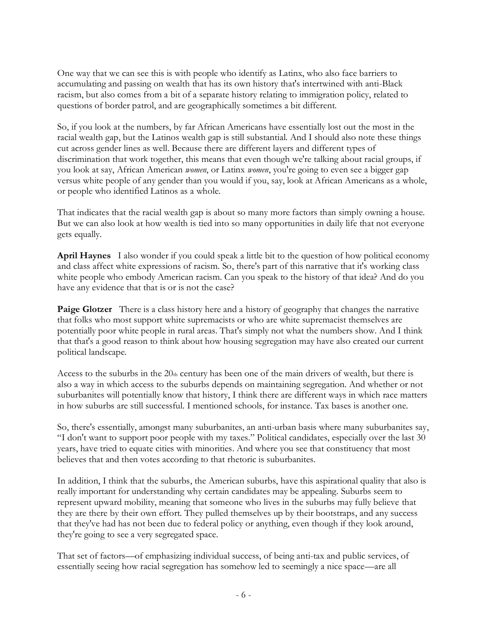One way that we can see this is with people who identify as Latinx, who also face barriers to accumulating and passing on wealth that has its own history that's intertwined with anti-Black racism, but also comes from a bit of a separate history relating to immigration policy, related to questions of border patrol, and are geographically sometimes a bit different.

So, if you look at the numbers, by far African Americans have essentially lost out the most in the racial wealth gap, but the Latinos wealth gap is still substantial. And I should also note these things cut across gender lines as well. Because there are different layers and different types of discrimination that work together, this means that even though we're talking about racial groups, if you look at say, African American *women*, or Latinx *women*, you're going to even see a bigger gap versus white people of any gender than you would if you, say, look at African Americans as a whole, or people who identified Latinos as a whole.

That indicates that the racial wealth gap is about so many more factors than simply owning a house. But we can also look at how wealth is tied into so many opportunities in daily life that not everyone gets equally.

**April Haynes** I also wonder if you could speak a little bit to the question of how political economy and class affect white expressions of racism. So, there's part of this narrative that it's working class white people who embody American racism. Can you speak to the history of that idea? And do you have any evidence that that is or is not the case?

**Paige Glotzer** There is a class history here and a history of geography that changes the narrative that folks who most support white supremacists or who are white supremacist themselves are potentially poor white people in rural areas. That's simply not what the numbers show. And I think that that's a good reason to think about how housing segregation may have also created our current political landscape.

Access to the suburbs in the  $20<sub>th</sub>$  century has been one of the main drivers of wealth, but there is also a way in which access to the suburbs depends on maintaining segregation. And whether or not suburbanites will potentially know that history, I think there are different ways in which race matters in how suburbs are still successful. I mentioned schools, for instance. Tax bases is another one.

So, there's essentially, amongst many suburbanites, an anti-urban basis where many suburbanites say, "I don't want to support poor people with my taxes." Political candidates, especially over the last 30 years, have tried to equate cities with minorities. And where you see that constituency that most believes that and then votes according to that rhetoric is suburbanites.

In addition, I think that the suburbs, the American suburbs, have this aspirational quality that also is really important for understanding why certain candidates may be appealing. Suburbs seem to represent upward mobility, meaning that someone who lives in the suburbs may fully believe that they are there by their own effort. They pulled themselves up by their bootstraps, and any success that they've had has not been due to federal policy or anything, even though if they look around, they're going to see a very segregated space.

That set of factors—of emphasizing individual success, of being anti-tax and public services, of essentially seeing how racial segregation has somehow led to seemingly a nice space—are all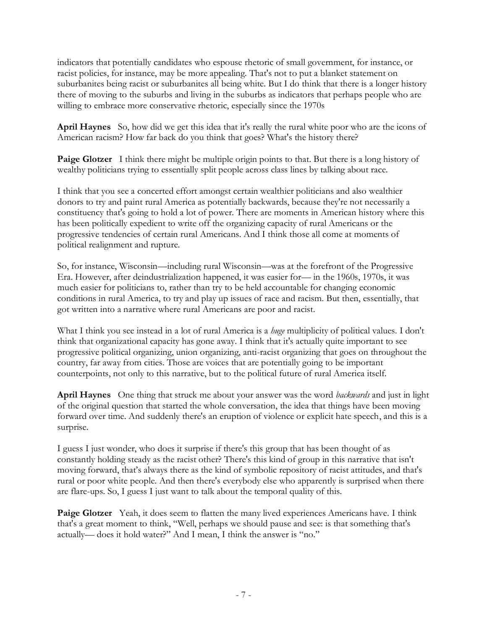indicators that potentially candidates who espouse rhetoric of small government, for instance, or racist policies, for instance, may be more appealing. That's not to put a blanket statement on suburbanites being racist or suburbanites all being white. But I do think that there is a longer history there of moving to the suburbs and living in the suburbs as indicators that perhaps people who are willing to embrace more conservative rhetoric, especially since the 1970s

**April Haynes** So, how did we get this idea that it's really the rural white poor who are the icons of American racism? How far back do you think that goes? What's the history there?

**Paige Glotzer** I think there might be multiple origin points to that. But there is a long history of wealthy politicians trying to essentially split people across class lines by talking about race.

I think that you see a concerted effort amongst certain wealthier politicians and also wealthier donors to try and paint rural America as potentially backwards, because they're not necessarily a constituency that's going to hold a lot of power. There are moments in American history where this has been politically expedient to write off the organizing capacity of rural Americans or the progressive tendencies of certain rural Americans. And I think those all come at moments of political realignment and rupture.

So, for instance, Wisconsin—including rural Wisconsin—was at the forefront of the Progressive Era. However, after deindustrialization happened, it was easier for— in the 1960s, 1970s, it was much easier for politicians to, rather than try to be held accountable for changing economic conditions in rural America, to try and play up issues of race and racism. But then, essentially, that got written into a narrative where rural Americans are poor and racist.

What I think you see instead in a lot of rural America is a *huge* multiplicity of political values. I don't think that organizational capacity has gone away. I think that it's actually quite important to see progressive political organizing, union organizing, anti-racist organizing that goes on throughout the country, far away from cities. Those are voices that are potentially going to be important counterpoints, not only to this narrative, but to the political future of rural America itself.

**April Haynes** One thing that struck me about your answer was the word *backwards* and just in light of the original question that started the whole conversation, the idea that things have been moving forward over time. And suddenly there's an eruption of violence or explicit hate speech, and this is a surprise.

I guess I just wonder, who does it surprise if there's this group that has been thought of as constantly holding steady as the racist other? There's this kind of group in this narrative that isn't moving forward, that's always there as the kind of symbolic repository of racist attitudes, and that's rural or poor white people. And then there's everybody else who apparently is surprised when there are flare-ups. So, I guess I just want to talk about the temporal quality of this.

**Paige Glotzer** Yeah, it does seem to flatten the many lived experiences Americans have. I think that's a great moment to think, "Well, perhaps we should pause and see: is that something that's actually— does it hold water?" And I mean, I think the answer is "no."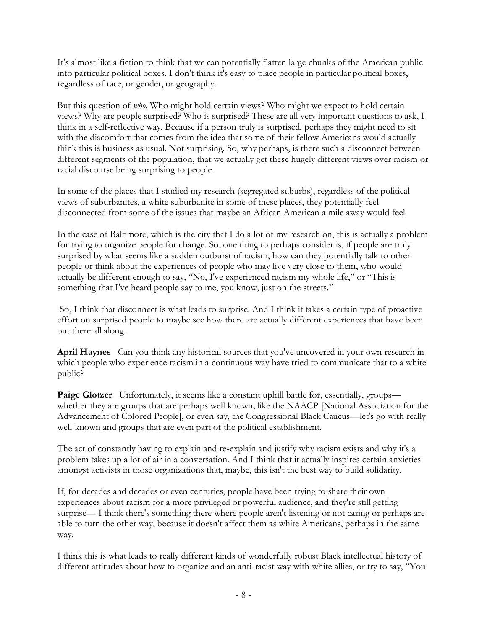It's almost like a fiction to think that we can potentially flatten large chunks of the American public into particular political boxes. I don't think it's easy to place people in particular political boxes, regardless of race, or gender, or geography.

But this question of *who*. Who might hold certain views? Who might we expect to hold certain views? Why are people surprised? Who is surprised? These are all very important questions to ask, I think in a self-reflective way. Because if a person truly is surprised, perhaps they might need to sit with the discomfort that comes from the idea that some of their fellow Americans would actually think this is business as usual. Not surprising. So, why perhaps, is there such a disconnect between different segments of the population, that we actually get these hugely different views over racism or racial discourse being surprising to people.

In some of the places that I studied my research (segregated suburbs), regardless of the political views of suburbanites, a white suburbanite in some of these places, they potentially feel disconnected from some of the issues that maybe an African American a mile away would feel.

In the case of Baltimore, which is the city that I do a lot of my research on, this is actually a problem for trying to organize people for change. So, one thing to perhaps consider is, if people are truly surprised by what seems like a sudden outburst of racism, how can they potentially talk to other people or think about the experiences of people who may live very close to them, who would actually be different enough to say, "No, I've experienced racism my whole life," or "This is something that I've heard people say to me, you know, just on the streets."

So, I think that disconnect is what leads to surprise. And I think it takes a certain type of proactive effort on surprised people to maybe see how there are actually different experiences that have been out there all along.

**April Haynes** Can you think any historical sources that you've uncovered in your own research in which people who experience racism in a continuous way have tried to communicate that to a white public?

**Paige Glotzer** Unfortunately, it seems like a constant uphill battle for, essentially, groups whether they are groups that are perhaps well known, like the NAACP [National Association for the Advancement of Colored People], or even say, the Congressional Black Caucus—let's go with really well-known and groups that are even part of the political establishment.

The act of constantly having to explain and re-explain and justify why racism exists and why it's a problem takes up a lot of air in a conversation. And I think that it actually inspires certain anxieties amongst activists in those organizations that, maybe, this isn't the best way to build solidarity.

If, for decades and decades or even centuries, people have been trying to share their own experiences about racism for a more privileged or powerful audience, and they're still getting surprise— I think there's something there where people aren't listening or not caring or perhaps are able to turn the other way, because it doesn't affect them as white Americans, perhaps in the same way.

I think this is what leads to really different kinds of wonderfully robust Black intellectual history of different attitudes about how to organize and an anti-racist way with white allies, or try to say, "You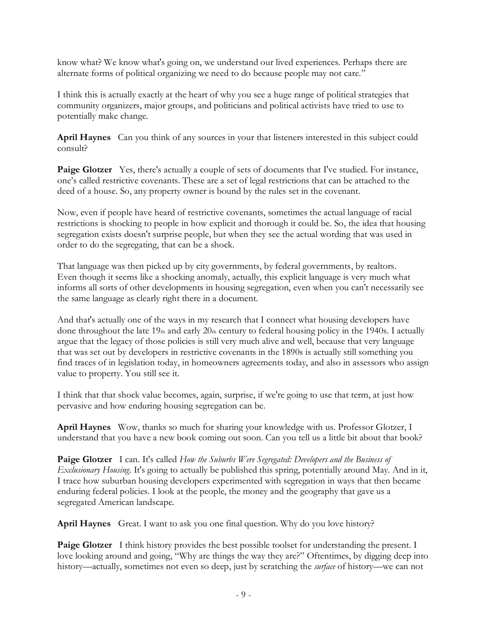know what? We know what's going on, we understand our lived experiences. Perhaps there are alternate forms of political organizing we need to do because people may not care."

I think this is actually exactly at the heart of why you see a huge range of political strategies that community organizers, major groups, and politicians and political activists have tried to use to potentially make change.

**April Haynes** Can you think of any sources in your that listeners interested in this subject could consult?

Paige Glotzer Yes, there's actually a couple of sets of documents that I've studied. For instance, one's called restrictive covenants. These are a set of legal restrictions that can be attached to the deed of a house. So, any property owner is bound by the rules set in the covenant.

Now, even if people have heard of restrictive covenants, sometimes the actual language of racial restrictions is shocking to people in how explicit and thorough it could be. So, the idea that housing segregation exists doesn't surprise people, but when they see the actual wording that was used in order to do the segregating, that can be a shock.

That language was then picked up by city governments, by federal governments, by realtors. Even though it seems like a shocking anomaly, actually, this explicit language is very much what informs all sorts of other developments in housing segregation, even when you can't necessarily see the same language as clearly right there in a document.

And that's actually one of the ways in my research that I connect what housing developers have done throughout the late  $19<sub>th</sub>$  and early  $20<sub>th</sub>$  century to federal housing policy in the 1940s. I actually argue that the legacy of those policies is still very much alive and well, because that very language that was set out by developers in restrictive covenants in the 1890s is actually still something you find traces of in legislation today, in homeowners agreements today, and also in assessors who assign value to property. You still see it.

I think that that shock value becomes, again, surprise, if we're going to use that term, at just how pervasive and how enduring housing segregation can be.

**April Haynes** Wow, thanks so much for sharing your knowledge with us. Professor Glotzer, I understand that you have a new book coming out soon. Can you tell us a little bit about that book?

**Paige Glotzer** I can. It's called *How the Suburbs Were Segregated: Developers and the Business of Exclusionary Housing*. It's going to actually be published this spring, potentially around May. And in it, I trace how suburban housing developers experimented with segregation in ways that then became enduring federal policies. I look at the people, the money and the geography that gave us a segregated American landscape.

**April Haynes** Great. I want to ask you one final question. Why do you love history?

**Paige Glotzer** I think history provides the best possible toolset for understanding the present. I love looking around and going, "Why are things the way they are?" Oftentimes, by digging deep into history—actually, sometimes not even so deep, just by scratching the *surface* of history—we can not